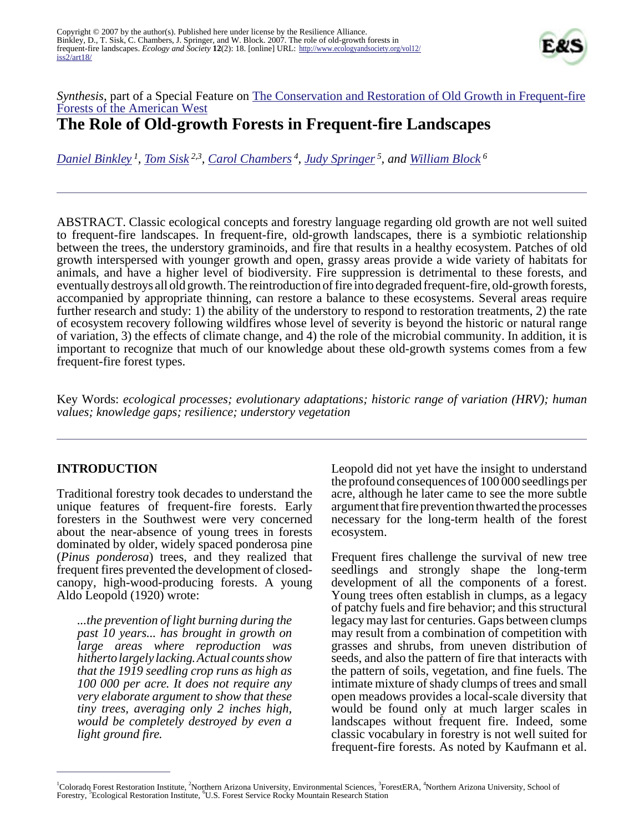

## *Synthesis*, part of a Special Feature on [The Conservation and Restoration of Old Growth in Frequent-fire](http://www.ecologyandsociety.org/viewissue.php?sf=33) [Forests of the American West](http://www.ecologyandsociety.org/viewissue.php?sf=33) **The Role of Old-growth Forests in Frequent-fire Landscapes**

*[Daniel Binkley](mailto:Binkley@WarnerCNR.colostate.edu)<sup>1</sup> , [Tom Sisk](mailto:Thomas.Sisk@nau.edu) 2,3 , [Carol Chambers](mailto:Carol.Chambers@nau.edu)<sup>4</sup> , [Judy Springer](mailto:judith.springer@nau.edu)<sup>5</sup>, and [William Block](mailto:wblock@fs.fed.us)<sup>6</sup>*

ABSTRACT. Classic ecological concepts and forestry language regarding old growth are not well suited to frequent-fire landscapes. In frequent-fire, old-growth landscapes, there is a symbiotic relationship between the trees, the understory graminoids, and fire that results in a healthy ecosystem. Patches of old growth interspersed with younger growth and open, grassy areas provide a wide variety of habitats for animals, and have a higher level of biodiversity. Fire suppression is detrimental to these forests, and eventually destroys all old growth. The reintroduction of fire into degraded frequent-fire, old-growth forests, accompanied by appropriate thinning, can restore a balance to these ecosystems. Several areas require further research and study: 1) the ability of the understory to respond to restoration treatments, 2) the rate of ecosystem recovery following wildfires whose level of severity is beyond the historic or natural range of variation, 3) the effects of climate change, and 4) the role of the microbial community. In addition, it is important to recognize that much of our knowledge about these old-growth systems comes from a few frequent-fire forest types.

Key Words: *ecological processes; evolutionary adaptations; historic range of variation (HRV); human values; knowledge gaps; resilience; understory vegetation*

#### **INTRODUCTION**

Traditional forestry took decades to understand the unique features of frequent-fire forests. Early foresters in the Southwest were very concerned about the near-absence of young trees in forests dominated by older, widely spaced ponderosa pine (*Pinus ponderosa*) trees, and they realized that frequent fires prevented the development of closedcanopy, high-wood-producing forests. A young Aldo Leopold (1920) wrote:

*...the prevention of light burning during the past 10 years... has brought in growth on large areas where reproduction was hitherto largely lacking. Actual counts show that the 1919 seedling crop runs as high as 100 000 per acre. It does not require any very elaborate argument to show that these tiny trees, averaging only 2 inches high, would be completely destroyed by even a light ground fire.*

Leopold did not yet have the insight to understand the profound consequences of 100 000 seedlings per acre, although he later came to see the more subtle argument that fire prevention thwarted the processes necessary for the long-term health of the forest ecosystem.

Frequent fires challenge the survival of new tree seedlings and strongly shape the long-term development of all the components of a forest. Young trees often establish in clumps, as a legacy of patchy fuels and fire behavior; and this structural legacy may last for centuries. Gaps between clumps may result from a combination of competition with grasses and shrubs, from uneven distribution of seeds, and also the pattern of fire that interacts with the pattern of soils, vegetation, and fine fuels. The intimate mixture of shady clumps of trees and small open meadows provides a local-scale diversity that would be found only at much larger scales in landscapes without frequent fire. Indeed, some classic vocabulary in forestry is not well suited for frequent-fire forests. As noted by Kaufmann et al.

<sup>&</sup>lt;sup>1</sup>Colorado Forest Restoration Institute, <sup>2</sup>Northern Arizona University, Environmental Sciences, <sup>3</sup>ForestERA, <sup>4</sup>Northern Arizona University, School of Forestry, <sup>5</sup> Ecological Restoration Institute, <sup>6</sup>U.S. Forest Service Rocky Mountain Research Station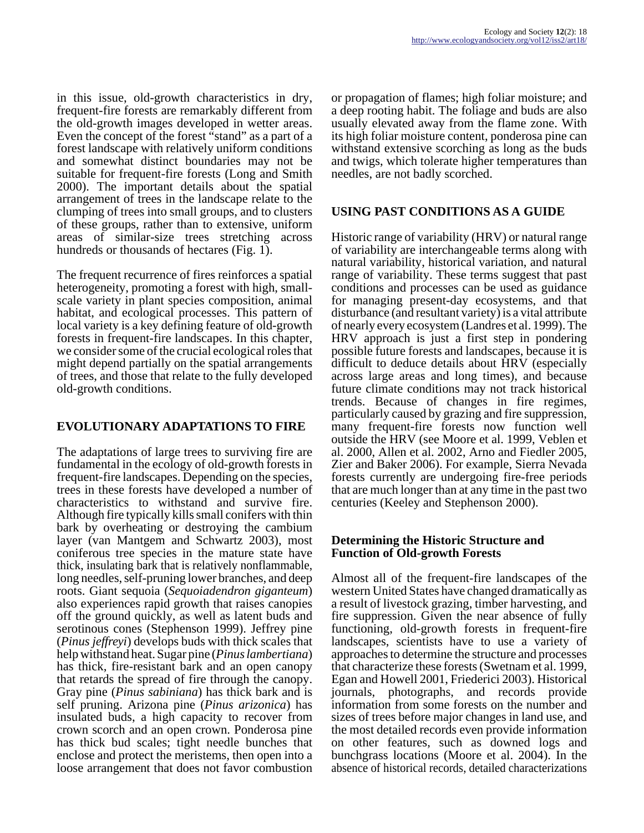in this issue, old-growth characteristics in dry, frequent-fire forests are remarkably different from the old-growth images developed in wetter areas. Even the concept of the forest "stand" as a part of a forest landscape with relatively uniform conditions and somewhat distinct boundaries may not be suitable for frequent-fire forests (Long and Smith 2000). The important details about the spatial arrangement of trees in the landscape relate to the clumping of trees into small groups, and to clusters of these groups, rather than to extensive, uniform areas of similar-size trees stretching across hundreds or thousands of hectares (Fig. 1).

The frequent recurrence of fires reinforces a spatial heterogeneity, promoting a forest with high, smallscale variety in plant species composition, animal habitat, and ecological processes. This pattern of local variety is a key defining feature of old-growth forests in frequent-fire landscapes. In this chapter, we consider some of the crucial ecological roles that might depend partially on the spatial arrangements of trees, and those that relate to the fully developed old-growth conditions.

## **EVOLUTIONARY ADAPTATIONS TO FIRE**

The adaptations of large trees to surviving fire are fundamental in the ecology of old-growth forests in frequent-fire landscapes. Depending on the species, trees in these forests have developed a number of characteristics to withstand and survive fire. Although fire typically kills small conifers with thin bark by overheating or destroying the cambium layer (van Mantgem and Schwartz 2003), most coniferous tree species in the mature state have thick, insulating bark that is relatively nonflammable, long needles, self-pruning lower branches, and deep roots. Giant sequoia (*Sequoiadendron giganteum*) also experiences rapid growth that raises canopies off the ground quickly, as well as latent buds and serotinous cones (Stephenson 1999). Jeffrey pine (*Pinus jeffreyi*) develops buds with thick scales that help withstand heat. Sugar pine (*Pinus lambertiana*) has thick, fire-resistant bark and an open canopy that retards the spread of fire through the canopy. Gray pine (*Pinus sabiniana*) has thick bark and is self pruning. Arizona pine (*Pinus arizonica*) has insulated buds, a high capacity to recover from crown scorch and an open crown. Ponderosa pine has thick bud scales; tight needle bunches that enclose and protect the meristems, then open into a loose arrangement that does not favor combustion

or propagation of flames; high foliar moisture; and a deep rooting habit. The foliage and buds are also usually elevated away from the flame zone. With its high foliar moisture content, ponderosa pine can withstand extensive scorching as long as the buds and twigs, which tolerate higher temperatures than needles, are not badly scorched.

# **USING PAST CONDITIONS AS A GUIDE**

Historic range of variability (HRV) or natural range of variability are interchangeable terms along with natural variability, historical variation, and natural range of variability. These terms suggest that past conditions and processes can be used as guidance for managing present-day ecosystems, and that disturbance (and resultant variety) is a vital attribute of nearly every ecosystem (Landres et al. 1999). The HRV approach is just a first step in pondering possible future forests and landscapes, because it is difficult to deduce details about HRV (especially across large areas and long times), and because future climate conditions may not track historical trends. Because of changes in fire regimes, particularly caused by grazing and fire suppression, many frequent-fire forests now function well outside the HRV (see Moore et al. 1999, Veblen et al. 2000, Allen et al. 2002, Arno and Fiedler 2005, Zier and Baker 2006). For example, Sierra Nevada forests currently are undergoing fire-free periods that are much longer than at any time in the past two centuries (Keeley and Stephenson 2000).

## **Determining the Historic Structure and Function of Old-growth Forests**

Almost all of the frequent-fire landscapes of the western United States have changed dramatically as a result of livestock grazing, timber harvesting, and fire suppression. Given the near absence of fully functioning, old-growth forests in frequent-fire landscapes, scientists have to use a variety of approaches to determine the structure and processes that characterize these forests (Swetnam et al. 1999, Egan and Howell 2001, Friederici 2003). Historical journals, photographs, and records provide information from some forests on the number and sizes of trees before major changes in land use, and the most detailed records even provide information on other features, such as downed logs and bunchgrass locations (Moore et al. 2004). In the absence of historical records, detailed characterizations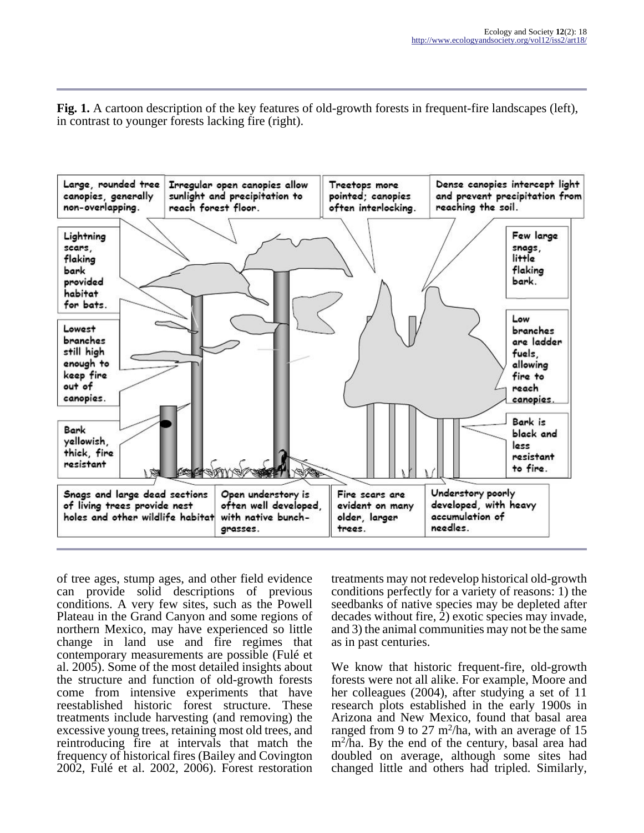**Fig. 1.** A cartoon description of the key features of old-growth forests in frequent-fire landscapes (left), in contrast to younger forests lacking fire (right).



of tree ages, stump ages, and other field evidence can provide solid descriptions of previous conditions. A very few sites, such as the Powell Plateau in the Grand Canyon and some regions of northern Mexico, may have experienced so little change in land use and fire regimes that contemporary measurements are possible (Fulé et al. 2005). Some of the most detailed insights about the structure and function of old-growth forests come from intensive experiments that have reestablished historic forest structure. These treatments include harvesting (and removing) the excessive young trees, retaining most old trees, and reintroducing fire at intervals that match the frequency of historical fires (Bailey and Covington 2002, Fulé et al. 2002, 2006). Forest restoration

treatments may not redevelop historical old-growth conditions perfectly for a variety of reasons: 1) the seedbanks of native species may be depleted after decades without fire, 2) exotic species may invade, and 3) the animal communities may not be the same as in past centuries.

We know that historic frequent-fire, old-growth forests were not all alike. For example, Moore and her colleagues (2004), after studying a set of 11 research plots established in the early 1900s in Arizona and New Mexico, found that basal area ranged from 9 to 27 m<sup>2</sup>/ha, with an average of 15 m<sup>2</sup> /ha. By the end of the century, basal area had doubled on average, although some sites had changed little and others had tripled. Similarly,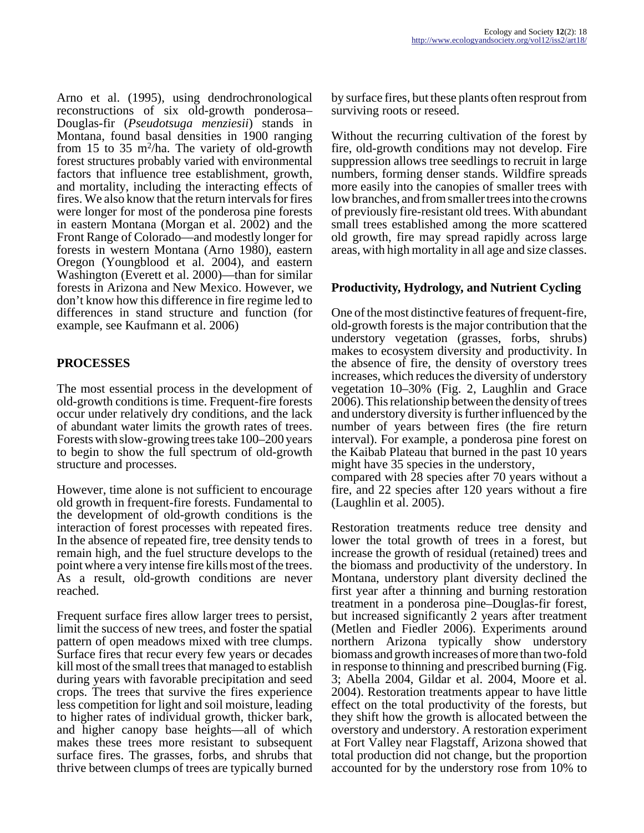Arno et al. (1995), using dendrochronological reconstructions of six old-growth ponderosa– Douglas-fir (*Pseudotsuga menziesii*) stands in Montana, found basal densities in 1900 ranging from 15 to 35  $m^2/ha$ . The variety of old-growth forest structures probably varied with environmental factors that influence tree establishment, growth, and mortality, including the interacting effects of fires. We also know that the return intervals for fires were longer for most of the ponderosa pine forests in eastern Montana (Morgan et al. 2002) and the Front Range of Colorado—and modestly longer for forests in western Montana (Arno 1980), eastern Oregon (Youngblood et al. 2004), and eastern Washington (Everett et al. 2000)—than for similar forests in Arizona and New Mexico. However, we don't know how this difference in fire regime led to differences in stand structure and function (for example, see Kaufmann et al. 2006)

# **PROCESSES**

The most essential process in the development of old-growth conditions is time. Frequent-fire forests occur under relatively dry conditions, and the lack of abundant water limits the growth rates of trees. Forests with slow-growing trees take 100–200 years to begin to show the full spectrum of old-growth structure and processes.

However, time alone is not sufficient to encourage old growth in frequent-fire forests. Fundamental to the development of old-growth conditions is the interaction of forest processes with repeated fires. In the absence of repeated fire, tree density tends to remain high, and the fuel structure develops to the point where a very intense fire kills most of the trees. As a result, old-growth conditions are never reached.

Frequent surface fires allow larger trees to persist, limit the success of new trees, and foster the spatial pattern of open meadows mixed with tree clumps. Surface fires that recur every few years or decades kill most of the small trees that managed to establish during years with favorable precipitation and seed crops. The trees that survive the fires experience less competition for light and soil moisture, leading to higher rates of individual growth, thicker bark, and higher canopy base heights—all of which makes these trees more resistant to subsequent surface fires. The grasses, forbs, and shrubs that thrive between clumps of trees are typically burned

by surface fires, but these plants often resprout from surviving roots or reseed.

Without the recurring cultivation of the forest by fire, old-growth conditions may not develop. Fire suppression allows tree seedlings to recruit in large numbers, forming denser stands. Wildfire spreads more easily into the canopies of smaller trees with low branches, and from smaller trees into the crowns of previously fire-resistant old trees. With abundant small trees established among the more scattered old growth, fire may spread rapidly across large areas, with high mortality in all age and size classes.

## **Productivity, Hydrology, and Nutrient Cycling**

One of the most distinctive features of frequent-fire, old-growth forests is the major contribution that the understory vegetation (grasses, forbs, shrubs) makes to ecosystem diversity and productivity. In the absence of fire, the density of overstory trees increases, which reduces the diversity of understory vegetation 10–30% (Fig. 2, Laughlin and Grace 2006). This relationship between the density of trees and understory diversity is further influenced by the number of years between fires (the fire return interval). For example, a ponderosa pine forest on the Kaibab Plateau that burned in the past 10 years might have 35 species in the understory, compared with 28 species after 70 years without a fire, and 22 species after 120 years without a fire

(Laughlin et al. 2005).

Restoration treatments reduce tree density and lower the total growth of trees in a forest, but increase the growth of residual (retained) trees and the biomass and productivity of the understory. In Montana, understory plant diversity declined the first year after a thinning and burning restoration treatment in a ponderosa pine–Douglas-fir forest, but increased significantly 2 years after treatment (Metlen and Fiedler 2006). Experiments around northern Arizona typically show understory biomass and growth increases of more than two-fold in response to thinning and prescribed burning (Fig. 3; Abella 2004, Gildar et al. 2004, Moore et al. 2004). Restoration treatments appear to have little effect on the total productivity of the forests, but they shift how the growth is allocated between the overstory and understory. A restoration experiment at Fort Valley near Flagstaff, Arizona showed that total production did not change, but the proportion accounted for by the understory rose from 10% to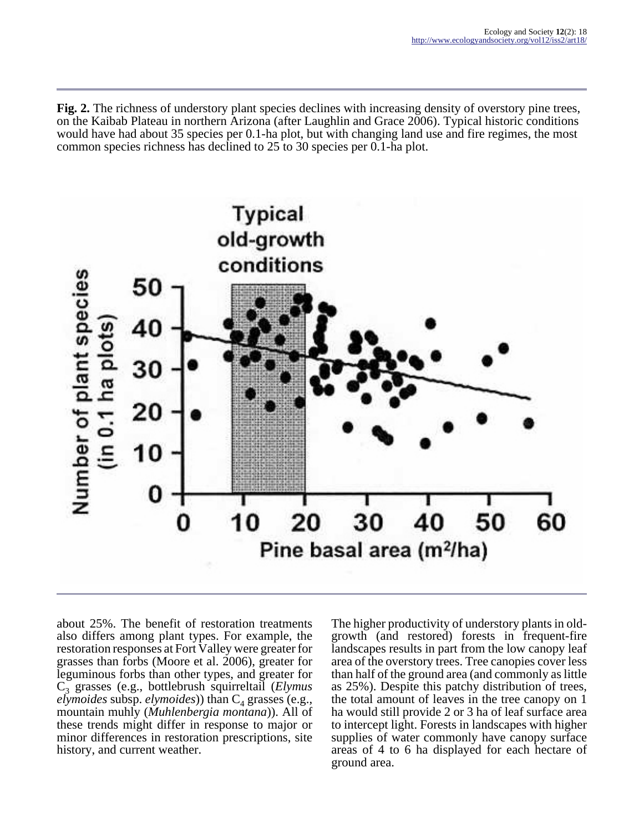**Fig. 2.** The richness of understory plant species declines with increasing density of overstory pine trees, on the Kaibab Plateau in northern Arizona (after Laughlin and Grace 2006). Typical historic conditions would have had about 35 species per 0.1-ha plot, but with changing land use and fire regimes, the most common species richness has declined to 25 to 30 species per 0.1-ha plot.



about 25%. The benefit of restoration treatments also differs among plant types. For example, the restoration responses at Fort Valley were greater for grasses than forbs (Moore et al. 2006), greater for leguminous forbs than other types, and greater for C3 grasses (e.g., bottlebrush squirreltail (*Elymus elymoides* subsp. *elymoides*)) than C<sub>4</sub> grasses (e.g., mountain muhly (*Muhlenbergia montana*)). All of these trends might differ in response to major or minor differences in restoration prescriptions, site history, and current weather.

The higher productivity of understory plants in oldgrowth (and restored) forests in frequent-fire landscapes results in part from the low canopy leaf area of the overstory trees. Tree canopies cover less than half of the ground area (and commonly as little as 25%). Despite this patchy distribution of trees, the total amount of leaves in the tree canopy on 1 ha would still provide 2 or 3 ha of leaf surface area to intercept light. Forests in landscapes with higher supplies of water commonly have canopy surface areas of 4 to 6 ha displayed for each hectare of ground area.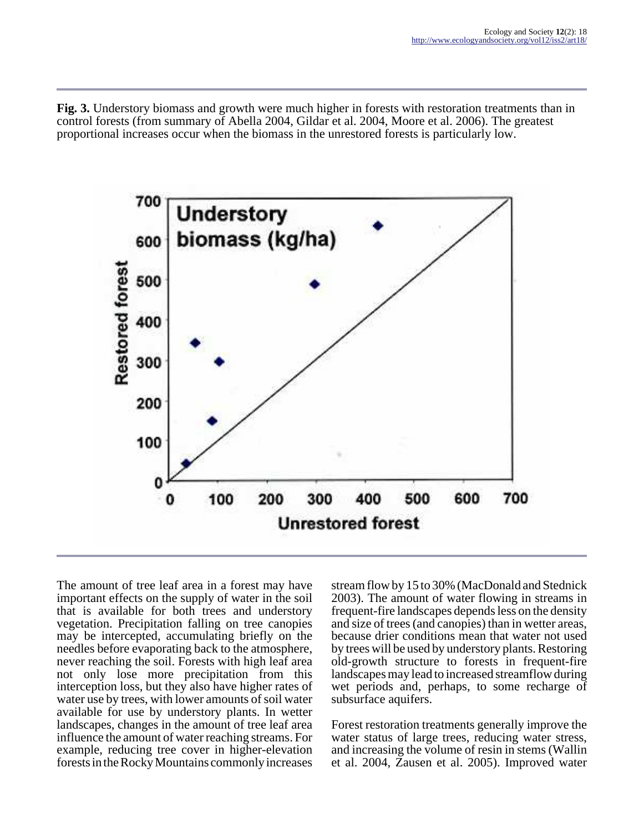**Fig. 3.** Understory biomass and growth were much higher in forests with restoration treatments than in control forests (from summary of Abella 2004, Gildar et al. 2004, Moore et al. 2006). The greatest proportional increases occur when the biomass in the unrestored forests is particularly low.



The amount of tree leaf area in a forest may have important effects on the supply of water in the soil that is available for both trees and understory vegetation. Precipitation falling on tree canopies may be intercepted, accumulating briefly on the needles before evaporating back to the atmosphere, never reaching the soil. Forests with high leaf area not only lose more precipitation from this interception loss, but they also have higher rates of water use by trees, with lower amounts of soil water available for use by understory plants. In wetter landscapes, changes in the amount of tree leaf area influence the amount of water reaching streams. For example, reducing tree cover in higher-elevation forests in the Rocky Mountains commonly increases

stream flow by 15 to 30% (MacDonald and Stednick 2003). The amount of water flowing in streams in frequent-fire landscapes depends less on the density and size of trees (and canopies) than in wetter areas, because drier conditions mean that water not used by trees will be used by understory plants. Restoring old-growth structure to forests in frequent-fire landscapes may lead to increased streamflow during wet periods and, perhaps, to some recharge of subsurface aquifers.

Forest restoration treatments generally improve the water status of large trees, reducing water stress, and increasing the volume of resin in stems (Wallin et al. 2004, Zausen et al. 2005). Improved water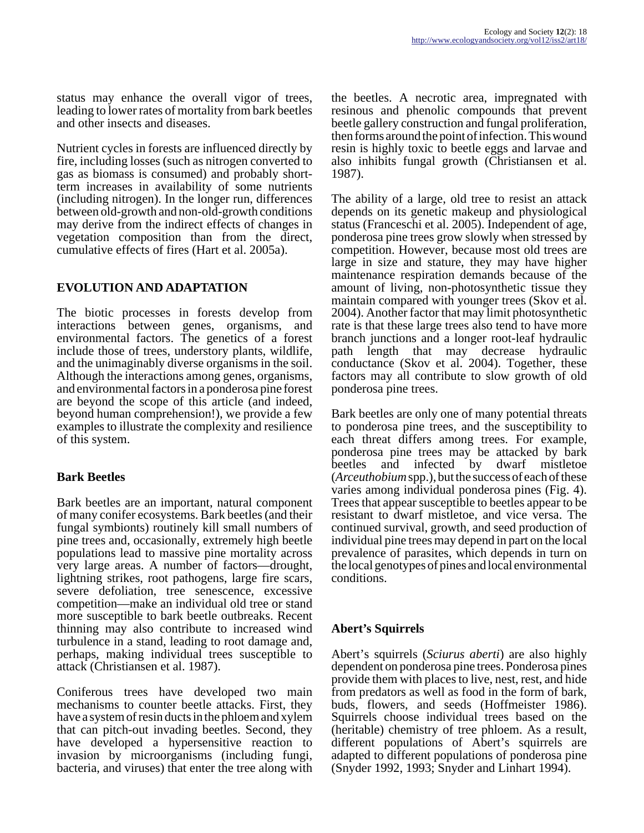status may enhance the overall vigor of trees, leading to lower rates of mortality from bark beetles and other insects and diseases.

Nutrient cycles in forests are influenced directly by fire, including losses (such as nitrogen converted to gas as biomass is consumed) and probably shortterm increases in availability of some nutrients (including nitrogen). In the longer run, differences between old-growth and non-old-growth conditions may derive from the indirect effects of changes in vegetation composition than from the direct, cumulative effects of fires (Hart et al. 2005a).

## **EVOLUTION AND ADAPTATION**

The biotic processes in forests develop from interactions between genes, organisms, and environmental factors. The genetics of a forest include those of trees, understory plants, wildlife, and the unimaginably diverse organisms in the soil. Although the interactions among genes, organisms, and environmental factors in a ponderosa pine forest are beyond the scope of this article (and indeed, beyond human comprehension!), we provide a few examples to illustrate the complexity and resilience of this system.

## **Bark Beetles**

Bark beetles are an important, natural component of many conifer ecosystems. Bark beetles (and their fungal symbionts) routinely kill small numbers of pine trees and, occasionally, extremely high beetle populations lead to massive pine mortality across very large areas. A number of factors—drought, lightning strikes, root pathogens, large fire scars, severe defoliation, tree senescence, excessive competition—make an individual old tree or stand more susceptible to bark beetle outbreaks. Recent thinning may also contribute to increased wind turbulence in a stand, leading to root damage and, perhaps, making individual trees susceptible to attack (Christiansen et al. 1987).

Coniferous trees have developed two main mechanisms to counter beetle attacks. First, they have a system of resin ducts in the phloem and xylem that can pitch-out invading beetles. Second, they have developed a hypersensitive reaction to invasion by microorganisms (including fungi, bacteria, and viruses) that enter the tree along with

the beetles. A necrotic area, impregnated with resinous and phenolic compounds that prevent beetle gallery construction and fungal proliferation, then forms around the point of infection. This wound resin is highly toxic to beetle eggs and larvae and also inhibits fungal growth (Christiansen et al. 1987).

The ability of a large, old tree to resist an attack depends on its genetic makeup and physiological status (Franceschi et al. 2005). Independent of age, ponderosa pine trees grow slowly when stressed by competition. However, because most old trees are large in size and stature, they may have higher maintenance respiration demands because of the amount of living, non-photosynthetic tissue they maintain compared with younger trees (Skov et al. 2004). Another factor that may limit photosynthetic rate is that these large trees also tend to have more branch junctions and a longer root-leaf hydraulic path length that may decrease hydraulic conductance (Skov et al. 2004). Together, these factors may all contribute to slow growth of old ponderosa pine trees.

Bark beetles are only one of many potential threats to ponderosa pine trees, and the susceptibility to each threat differs among trees. For example, ponderosa pine trees may be attacked by bark beetles and infected by dwarf mistletoe (*Arceuthobium* spp.), but the success of each of these varies among individual ponderosa pines (Fig. 4). Trees that appear susceptible to beetles appear to be resistant to dwarf mistletoe, and vice versa. The continued survival, growth, and seed production of individual pine trees may depend in part on the local prevalence of parasites, which depends in turn on the local genotypes of pines and local environmental conditions.

## **Abert's Squirrels**

Abert's squirrels (*Sciurus aberti*) are also highly dependent on ponderosa pine trees. Ponderosa pines provide them with places to live, nest, rest, and hide from predators as well as food in the form of bark, buds, flowers, and seeds (Hoffmeister 1986). Squirrels choose individual trees based on the (heritable) chemistry of tree phloem. As a result, different populations of Abert's squirrels are adapted to different populations of ponderosa pine (Snyder 1992, 1993; Snyder and Linhart 1994).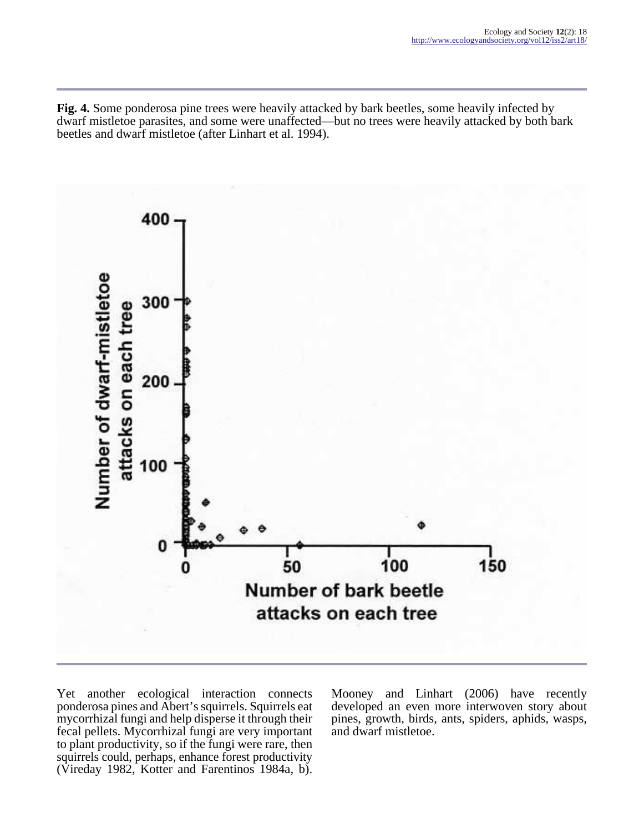**Fig. 4.** Some ponderosa pine trees were heavily attacked by bark beetles, some heavily infected by dwarf mistletoe parasites, and some were unaffected—but no trees were heavily attacked by both bark beetles and dwarf mistletoe (after Linhart et al. 1994).



Yet another ecological interaction connects ponderosa pines and Abert's squirrels. Squirrels eat mycorrhizal fungi and help disperse it through their fecal pellets. Mycorrhizal fungi are very important to plant productivity, so if the fungi were rare, then squirrels could, perhaps, enhance forest productivity (Vireday 1982, Kotter and Farentinos 1984a, b).

Mooney and Linhart (2006) have recently developed an even more interwoven story about pines, growth, birds, ants, spiders, aphids, wasps, and dwarf mistletoe.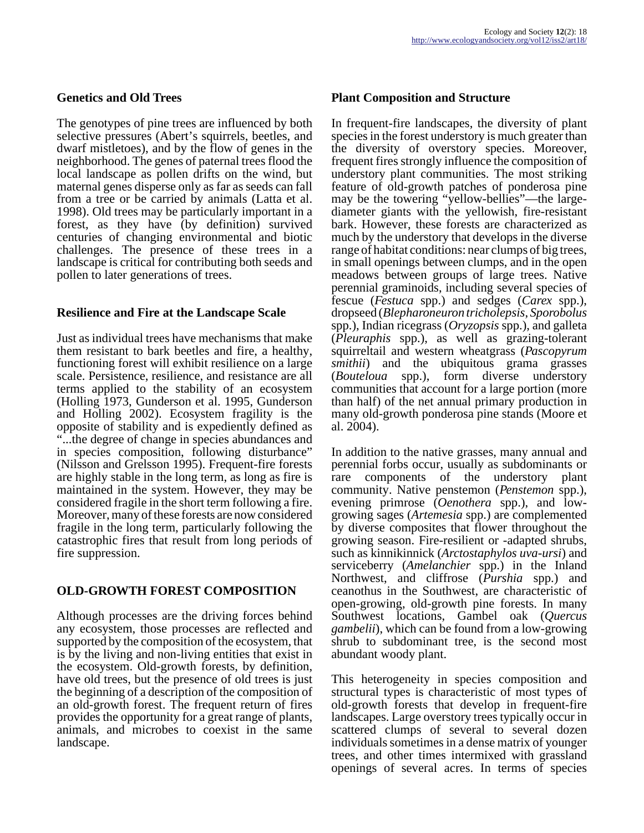#### **Genetics and Old Trees**

The genotypes of pine trees are influenced by both selective pressures (Abert's squirrels, beetles, and dwarf mistletoes), and by the flow of genes in the neighborhood. The genes of paternal trees flood the local landscape as pollen drifts on the wind, but maternal genes disperse only as far as seeds can fall from a tree or be carried by animals (Latta et al. 1998). Old trees may be particularly important in a forest, as they have (by definition) survived centuries of changing environmental and biotic challenges. The presence of these trees in a landscape is critical for contributing both seeds and pollen to later generations of trees.

#### **Resilience and Fire at the Landscape Scale**

Just as individual trees have mechanisms that make them resistant to bark beetles and fire, a healthy, functioning forest will exhibit resilience on a large scale. Persistence, resilience, and resistance are all terms applied to the stability of an ecosystem (Holling 1973, Gunderson et al. 1995, Gunderson and Holling 2002). Ecosystem fragility is the opposite of stability and is expediently defined as "...the degree of change in species abundances and in species composition, following disturbance" (Nilsson and Grelsson 1995). Frequent-fire forests are highly stable in the long term, as long as fire is maintained in the system. However, they may be considered fragile in the short term following a fire. Moreover, many of these forests are now considered fragile in the long term, particularly following the catastrophic fires that result from long periods of fire suppression.

#### **OLD-GROWTH FOREST COMPOSITION**

Although processes are the driving forces behind any ecosystem, those processes are reflected and supported by the composition of the ecosystem, that is by the living and non-living entities that exist in the ecosystem. Old-growth forests, by definition, have old trees, but the presence of old trees is just the beginning of a description of the composition of an old-growth forest. The frequent return of fires provides the opportunity for a great range of plants, animals, and microbes to coexist in the same landscape.

#### **Plant Composition and Structure**

In frequent-fire landscapes, the diversity of plant species in the forest understory is much greater than the diversity of overstory species. Moreover, frequent fires strongly influence the composition of understory plant communities. The most striking feature of old-growth patches of ponderosa pine may be the towering "yellow-bellies"—the largediameter giants with the yellowish, fire-resistant bark. However, these forests are characterized as much by the understory that develops in the diverse range of habitat conditions: near clumps of big trees, in small openings between clumps, and in the open meadows between groups of large trees. Native perennial graminoids, including several species of fescue (*Festuca* spp.) and sedges (*Carex* spp.), dropseed (*Blepharoneuron tricholepsis*, *Sporobolus* spp.), Indian ricegrass (*Oryzopsis* spp.), and galleta (*Pleuraphis* spp.), as well as grazing-tolerant squirreltail and western wheatgrass (*Pascopyrum smithii*) and the ubiquitous grama grasses (*Bouteloua* spp.), form diverse understory communities that account for a large portion (more than half) of the net annual primary production in many old-growth ponderosa pine stands (Moore et al. 2004).

In addition to the native grasses, many annual and perennial forbs occur, usually as subdominants or rare components of the understory plant community. Native penstemon (*Penstemon* spp.), evening primrose (*Oenothera* spp.), and lowgrowing sages (*Artemesia* spp.) are complemented by diverse composites that flower throughout the growing season. Fire-resilient or -adapted shrubs, such as kinnikinnick (*Arctostaphylos uva-ursi*) and serviceberry (*Amelanchier* spp.) in the Inland Northwest, and cliffrose (*Purshia* spp.) and ceanothus in the Southwest, are characteristic of open-growing, old-growth pine forests. In many Southwest locations, Gambel oak (*Quercus gambelii*), which can be found from a low-growing shrub to subdominant tree, is the second most abundant woody plant.

This heterogeneity in species composition and structural types is characteristic of most types of old-growth forests that develop in frequent-fire landscapes. Large overstory trees typically occur in scattered clumps of several to several dozen individuals sometimes in a dense matrix of younger trees, and other times intermixed with grassland openings of several acres. In terms of species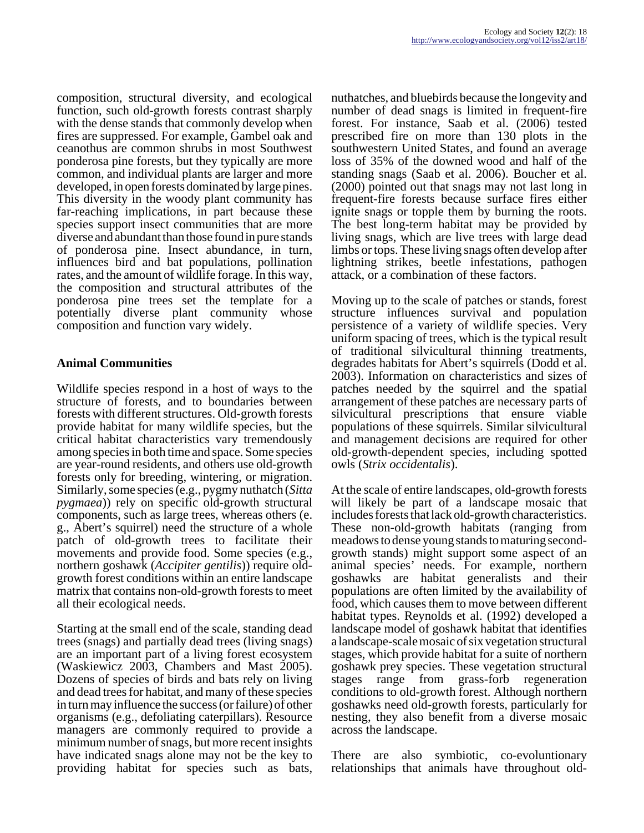composition, structural diversity, and ecological function, such old-growth forests contrast sharply with the dense stands that commonly develop when fires are suppressed. For example, Gambel oak and ceanothus are common shrubs in most Southwest ponderosa pine forests, but they typically are more common, and individual plants are larger and more developed, in open forests dominated by large pines. This diversity in the woody plant community has far-reaching implications, in part because these species support insect communities that are more diverse and abundant than those found in pure stands of ponderosa pine. Insect abundance, in turn, influences bird and bat populations, pollination rates, and the amount of wildlife forage. In this way, the composition and structural attributes of the ponderosa pine trees set the template for a potentially diverse plant community whose composition and function vary widely.

## **Animal Communities**

Wildlife species respond in a host of ways to the structure of forests, and to boundaries between forests with different structures. Old-growth forests provide habitat for many wildlife species, but the critical habitat characteristics vary tremendously among species in both time and space. Some species are year-round residents, and others use old-growth forests only for breeding, wintering, or migration. Similarly, some species (e.g., pygmy nuthatch (*Sitta pygmaea*)) rely on specific old-growth structural components, such as large trees, whereas others (e. g., Abert's squirrel) need the structure of a whole patch of old-growth trees to facilitate their movements and provide food. Some species (e.g., northern goshawk (*Accipiter gentilis*)) require oldgrowth forest conditions within an entire landscape matrix that contains non-old-growth forests to meet all their ecological needs.

Starting at the small end of the scale, standing dead trees (snags) and partially dead trees (living snags) are an important part of a living forest ecosystem (Waskiewicz 2003, Chambers and Mast 2005). Dozens of species of birds and bats rely on living and dead trees for habitat, and many of these species in turn may influence the success (or failure) of other organisms (e.g., defoliating caterpillars). Resource managers are commonly required to provide a minimum number of snags, but more recent insights have indicated snags alone may not be the key to providing habitat for species such as bats,

nuthatches, and bluebirds because the longevity and number of dead snags is limited in frequent-fire forest. For instance, Saab et al. (2006) tested prescribed fire on more than 130 plots in the southwestern United States, and found an average loss of 35% of the downed wood and half of the standing snags (Saab et al. 2006). Boucher et al. (2000) pointed out that snags may not last long in frequent-fire forests because surface fires either ignite snags or topple them by burning the roots. The best long-term habitat may be provided by living snags, which are live trees with large dead limbs or tops. These living snags often develop after lightning strikes, beetle infestations, pathogen attack, or a combination of these factors.

Moving up to the scale of patches or stands, forest structure influences survival and population persistence of a variety of wildlife species. Very uniform spacing of trees, which is the typical result of traditional silvicultural thinning treatments, degrades habitats for Abert's squirrels (Dodd et al. 2003). Information on characteristics and sizes of patches needed by the squirrel and the spatial arrangement of these patches are necessary parts of silvicultural prescriptions that ensure viable populations of these squirrels. Similar silvicultural and management decisions are required for other old-growth-dependent species, including spotted owls (*Strix occidentalis*).

At the scale of entire landscapes, old-growth forests will likely be part of a landscape mosaic that includes forests that lack old-growth characteristics. These non-old-growth habitats (ranging from meadows to dense young stands to maturing secondgrowth stands) might support some aspect of an animal species' needs. For example, northern goshawks are habitat generalists and their populations are often limited by the availability of food, which causes them to move between different habitat types. Reynolds et al. (1992) developed a landscape model of goshawk habitat that identifies a landscape-scale mosaic of six vegetation structural stages, which provide habitat for a suite of northern goshawk prey species. These vegetation structural stages range from grass-forb regeneration conditions to old-growth forest. Although northern goshawks need old-growth forests, particularly for nesting, they also benefit from a diverse mosaic across the landscape.

There are also symbiotic, co-evoluntionary relationships that animals have throughout old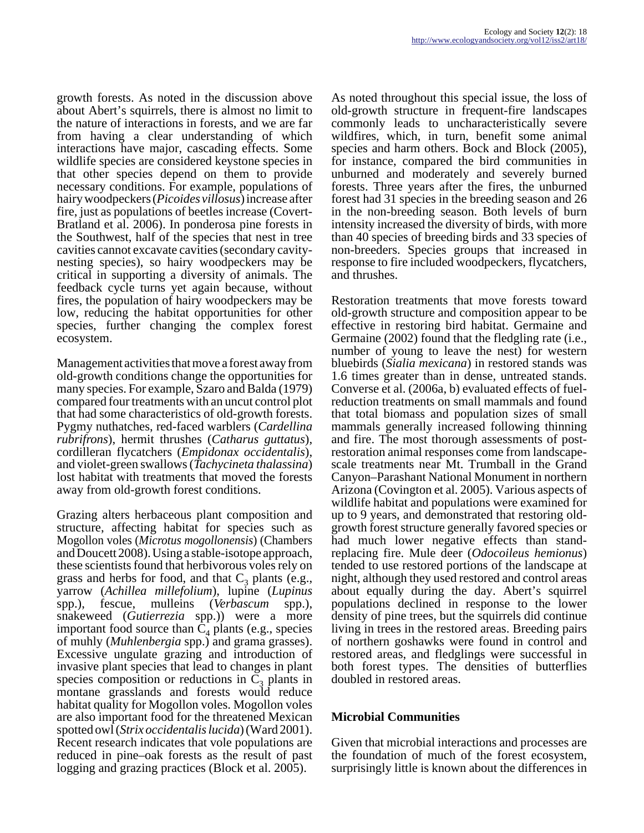growth forests. As noted in the discussion above about Abert's squirrels, there is almost no limit to the nature of interactions in forests, and we are far from having a clear understanding of which interactions have major, cascading effects. Some wildlife species are considered keystone species in that other species depend on them to provide necessary conditions. For example, populations of hairy woodpeckers (*Picoides villosus*) increase after fire, just as populations of beetles increase (Covert-Bratland et al. 2006). In ponderosa pine forests in the Southwest, half of the species that nest in tree cavities cannot excavate cavities (secondary cavitynesting species), so hairy woodpeckers may be critical in supporting a diversity of animals. The feedback cycle turns yet again because, without fires, the population of hairy woodpeckers may be low, reducing the habitat opportunities for other species, further changing the complex forest ecosystem.

Management activities that move a forest away from old-growth conditions change the opportunities for many species. For example, Szaro and Balda (1979) compared four treatments with an uncut control plot that had some characteristics of old-growth forests. Pygmy nuthatches, red-faced warblers (*Cardellina rubrifrons*), hermit thrushes (*Catharus guttatus*), cordilleran flycatchers (*Empidonax occidentalis*), and violet-green swallows (*Tachycineta thalassina*) lost habitat with treatments that moved the forests away from old-growth forest conditions.

Grazing alters herbaceous plant composition and structure, affecting habitat for species such as Mogollon voles (*Microtus mogollonensis*) (Chambers and Doucett 2008). Using a stable-isotope approach, these scientists found that herbivorous voles rely on grass and herbs for food, and that  $C_3$  plants (e.g., yarrow (*Achillea millefolium*), lupine (*Lupinus* spp.), fescue, mulleins (*Verbascum* spp.), snakeweed (*Gutierrezia* spp.)) were a more important food source than  $C_4$  plants (e.g., species of muhly (*Muhlenbergia* spp.) and grama grasses). Excessive ungulate grazing and introduction of invasive plant species that lead to changes in plant species composition or reductions in  $C_3$  plants in montane grasslands and forests would reduce habitat quality for Mogollon voles. Mogollon voles are also important food for the threatened Mexican spotted owl (*Strix occidentalis lucida*) (Ward 2001). Recent research indicates that vole populations are reduced in pine–oak forests as the result of past logging and grazing practices (Block et al. 2005).

As noted throughout this special issue, the loss of old-growth structure in frequent-fire landscapes commonly leads to uncharacteristically severe wildfires, which, in turn, benefit some animal species and harm others. Bock and Block (2005), for instance, compared the bird communities in unburned and moderately and severely burned forests. Three years after the fires, the unburned forest had 31 species in the breeding season and 26 in the non-breeding season. Both levels of burn intensity increased the diversity of birds, with more than 40 species of breeding birds and 33 species of non-breeders. Species groups that increased in response to fire included woodpeckers, flycatchers, and thrushes.

Restoration treatments that move forests toward old-growth structure and composition appear to be effective in restoring bird habitat. Germaine and Germaine (2002) found that the fledgling rate (i.e., number of young to leave the nest) for western bluebirds (*Sialia mexicana*) in restored stands was 1.6 times greater than in dense, untreated stands. Converse et al. (2006a, b) evaluated effects of fuelreduction treatments on small mammals and found that total biomass and population sizes of small mammals generally increased following thinning and fire. The most thorough assessments of postrestoration animal responses come from landscapescale treatments near Mt. Trumball in the Grand Canyon–Parashant National Monument in northern Arizona (Covington et al. 2005). Various aspects of wildlife habitat and populations were examined for up to 9 years, and demonstrated that restoring oldgrowth forest structure generally favored species or had much lower negative effects than standreplacing fire. Mule deer (*Odocoileus hemionus*) tended to use restored portions of the landscape at night, although they used restored and control areas about equally during the day. Abert's squirrel populations declined in response to the lower density of pine trees, but the squirrels did continue living in trees in the restored areas. Breeding pairs of northern goshawks were found in control and restored areas, and fledglings were successful in both forest types. The densities of butterflies doubled in restored areas.

## **Microbial Communities**

Given that microbial interactions and processes are the foundation of much of the forest ecosystem, surprisingly little is known about the differences in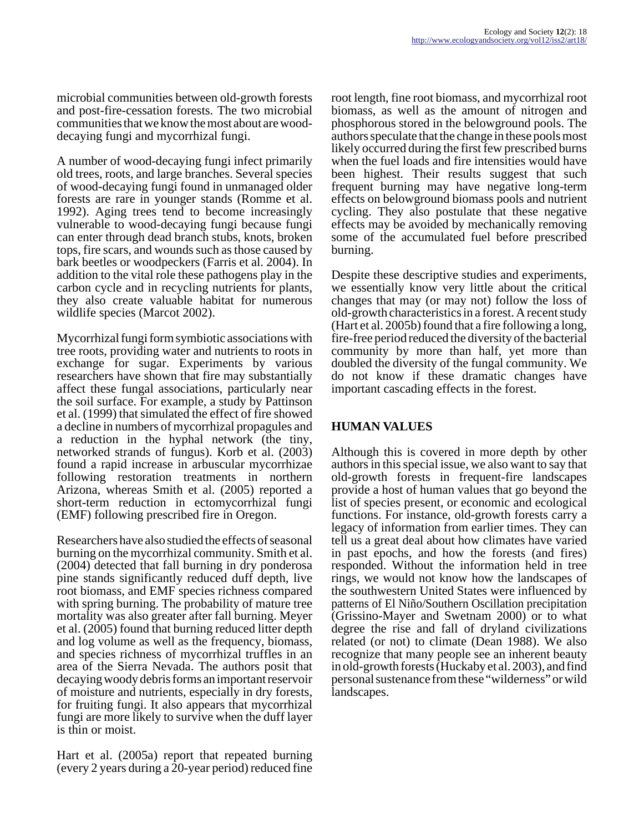microbial communities between old-growth forests and post-fire-cessation forests. The two microbial communities that we know the most about are wooddecaying fungi and mycorrhizal fungi.

A number of wood-decaying fungi infect primarily old trees, roots, and large branches. Several species of wood-decaying fungi found in unmanaged older forests are rare in younger stands (Romme et al. 1992). Aging trees tend to become increasingly vulnerable to wood-decaying fungi because fungi can enter through dead branch stubs, knots, broken tops, fire scars, and wounds such as those caused by bark beetles or woodpeckers (Farris et al. 2004). In addition to the vital role these pathogens play in the carbon cycle and in recycling nutrients for plants, they also create valuable habitat for numerous wildlife species (Marcot 2002).

Mycorrhizal fungi form symbiotic associations with tree roots, providing water and nutrients to roots in exchange for sugar. Experiments by various researchers have shown that fire may substantially affect these fungal associations, particularly near the soil surface. For example, a study by Pattinson et al. (1999) that simulated the effect of fire showed a decline in numbers of mycorrhizal propagules and a reduction in the hyphal network (the tiny, networked strands of fungus). Korb et al. (2003) found a rapid increase in arbuscular mycorrhizae following restoration treatments in northern Arizona, whereas Smith et al. (2005) reported a short-term reduction in ectomycorrhizal fungi (EMF) following prescribed fire in Oregon.

Researchers have also studied the effects of seasonal burning on the mycorrhizal community. Smith et al. (2004) detected that fall burning in dry ponderosa pine stands significantly reduced duff depth, live root biomass, and EMF species richness compared with spring burning. The probability of mature tree mortality was also greater after fall burning. Meyer et al. (2005) found that burning reduced litter depth and log volume as well as the frequency, biomass, and species richness of mycorrhizal truffles in an area of the Sierra Nevada. The authors posit that decaying woody debris forms an important reservoir of moisture and nutrients, especially in dry forests, for fruiting fungi. It also appears that mycorrhizal fungi are more likely to survive when the duff layer is thin or moist.

Hart et al. (2005a) report that repeated burning (every 2 years during a 20-year period) reduced fine

root length, fine root biomass, and mycorrhizal root biomass, as well as the amount of nitrogen and phosphorous stored in the belowground pools. The authors speculate that the change in these pools most likely occurred during the first few prescribed burns when the fuel loads and fire intensities would have been highest. Their results suggest that such frequent burning may have negative long-term effects on belowground biomass pools and nutrient cycling. They also postulate that these negative effects may be avoided by mechanically removing some of the accumulated fuel before prescribed burning.

Despite these descriptive studies and experiments, we essentially know very little about the critical changes that may (or may not) follow the loss of old-growth characteristics in a forest. A recent study (Hart et al. 2005b) found that a fire following a long, fire-free period reduced the diversity of the bacterial community by more than half, yet more than doubled the diversity of the fungal community. We do not know if these dramatic changes have important cascading effects in the forest.

## **HUMAN VALUES**

Although this is covered in more depth by other authors in this special issue, we also want to say that old-growth forests in frequent-fire landscapes provide a host of human values that go beyond the list of species present, or economic and ecological functions. For instance, old-growth forests carry a legacy of information from earlier times. They can tell us a great deal about how climates have varied in past epochs, and how the forests (and fires) responded. Without the information held in tree rings, we would not know how the landscapes of the southwestern United States were influenced by patterns of El Niño/Southern Oscillation precipitation (Grissino-Mayer and Swetnam 2000) or to what degree the rise and fall of dryland civilizations related (or not) to climate (Dean 1988). We also recognize that many people see an inherent beauty in old-growth forests (Huckaby et al. 2003), and find personal sustenance from these "wilderness" or wild landscapes.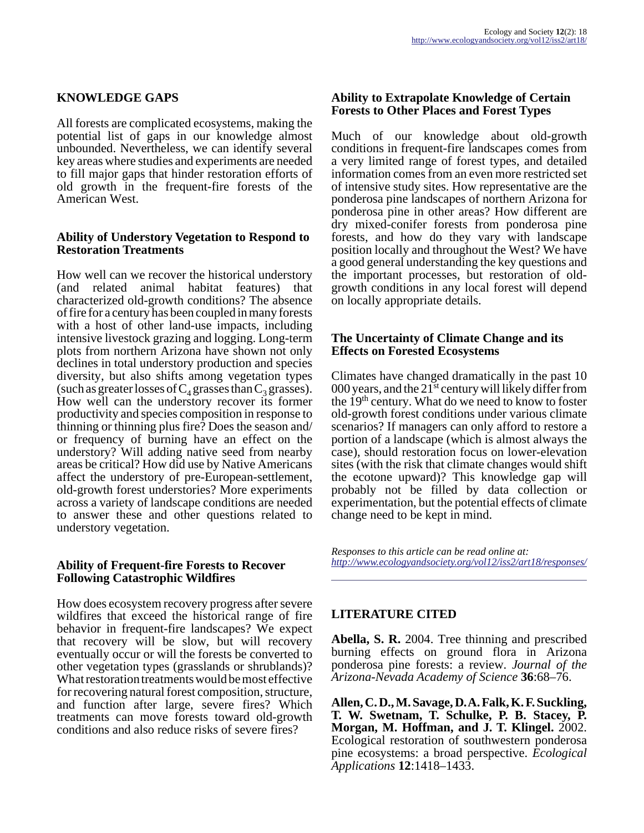### **KNOWLEDGE GAPS**

All forests are complicated ecosystems, making the potential list of gaps in our knowledge almost unbounded. Nevertheless, we can identify several key areas where studies and experiments are needed to fill major gaps that hinder restoration efforts of old growth in the frequent-fire forests of the American West.

#### **Ability of Understory Vegetation to Respond to Restoration Treatments**

How well can we recover the historical understory (and related animal habitat features) that characterized old-growth conditions? The absence of fire for a century has been coupled in many forests with a host of other land-use impacts, including intensive livestock grazing and logging. Long-term plots from northern Arizona have shown not only declines in total understory production and species diversity, but also shifts among vegetation types (such as greater losses of  $C_4$  grasses than  $C_3$  grasses). How well can the understory recover its former productivity and species composition in response to thinning or thinning plus fire? Does the season and/ or frequency of burning have an effect on the understory? Will adding native seed from nearby areas be critical? How did use by Native Americans affect the understory of pre-European-settlement, old-growth forest understories? More experiments across a variety of landscape conditions are needed to answer these and other questions related to understory vegetation.

#### **Ability of Frequent-fire Forests to Recover Following Catastrophic Wildfires**

How does ecosystem recovery progress after severe wildfires that exceed the historical range of fire behavior in frequent-fire landscapes? We expect that recovery will be slow, but will recovery eventually occur or will the forests be converted to other vegetation types (grasslands or shrublands)? What restoration treatments would be most effective for recovering natural forest composition, structure, and function after large, severe fires? Which treatments can move forests toward old-growth conditions and also reduce risks of severe fires?

#### **Ability to Extrapolate Knowledge of Certain Forests to Other Places and Forest Types**

Much of our knowledge about old-growth conditions in frequent-fire landscapes comes from a very limited range of forest types, and detailed information comes from an even more restricted set of intensive study sites. How representative are the ponderosa pine landscapes of northern Arizona for ponderosa pine in other areas? How different are dry mixed-conifer forests from ponderosa pine forests, and how do they vary with landscape position locally and throughout the West? We have a good general understanding the key questions and the important processes, but restoration of oldgrowth conditions in any local forest will depend on locally appropriate details.

#### **The Uncertainty of Climate Change and its Effects on Forested Ecosystems**

Climates have changed dramatically in the past 10 000 years, and the  $21<sup>st</sup>$  century will likely differ from the  $19<sup>th</sup>$  century. What do we need to know to foster old-growth forest conditions under various climate scenarios? If managers can only afford to restore a portion of a landscape (which is almost always the case), should restoration focus on lower-elevation sites (with the risk that climate changes would shift the ecotone upward)? This knowledge gap will probably not be filled by data collection or experimentation, but the potential effects of climate change need to be kept in mind.

*Responses to this article can be read online at: <http://www.ecologyandsociety.org/vol12/iss2/art18/responses/>*

## **LITERATURE CITED**

**Abella, S. R.** 2004. Tree thinning and prescribed burning effects on ground flora in Arizona ponderosa pine forests: a review. *Journal of the Arizona-Nevada Academy of Science* **36**:68–76.

**Allen, C. D., M. Savage, D. A. Falk, K. F. Suckling, T. W. Swetnam, T. Schulke, P. B. Stacey, P. Morgan, M. Hoffman, and J. T. Klingel.** 2002. Ecological restoration of southwestern ponderosa pine ecosystems: a broad perspective. *Ecological Applications* **12**:1418–1433.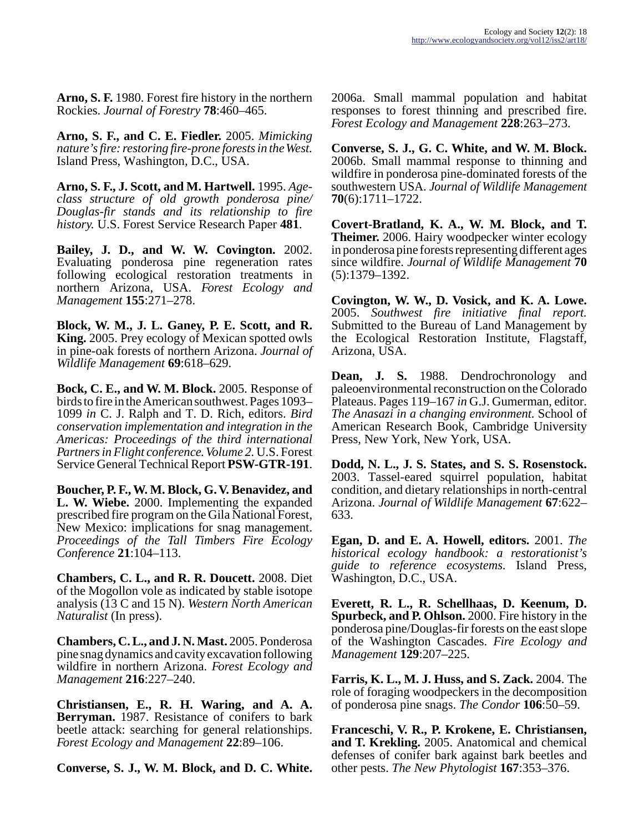**Arno, S. F.** 1980. Forest fire history in the northern Rockies. *Journal of Forestry* **78**:460–465.

**Arno, S. F., and C. E. Fiedler.** 2005. *Mimicking nature's fire: restoring fire-prone forests in the West.* Island Press, Washington, D.C., USA.

**Arno, S. F., J. Scott, and M. Hartwell.** 1995. *Ageclass structure of old growth ponderosa pine/ Douglas-fir stands and its relationship to fire history.* U.S. Forest Service Research Paper **481**.

**Bailey, J. D., and W. W. Covington.** 2002. Evaluating ponderosa pine regeneration rates following ecological restoration treatments in northern Arizona, USA. *Forest Ecology and Management* **155**:271–278.

**Block, W. M., J. L. Ganey, P. E. Scott, and R. King.** 2005. Prey ecology of Mexican spotted owls in pine-oak forests of northern Arizona. *Journal of Wildlife Management* **69**:618–629.

**Bock, C. E., and W. M. Block.** 2005. Response of birds to fire in the American southwest. Pages 1093– 1099 *in* C. J. Ralph and T. D. Rich, editors. *Bird conservation implementation and integration in the Americas: Proceedings of the third international Partners in Flight conference. Volume 2.* U.S. Forest Service General Technical Report **PSW-GTR-191**.

**Boucher, P. F., W. M. Block, G. V. Benavidez, and L. W. Wiebe.** 2000. Implementing the expanded prescribed fire program on the Gila National Forest, New Mexico: implications for snag management. *Proceedings of the Tall Timbers Fire Ecology Conference* **21**:104–113.

**Chambers, C. L., and R. R. Doucett.** 2008. Diet of the Mogollon vole as indicated by stable isotope analysis (13 C and 15 N). *Western North American Naturalist* (In press).

**Chambers, C. L., and J. N. Mast.** 2005. Ponderosa pine snag dynamics and cavity excavation following wildfire in northern Arizona. *Forest Ecology and Management* **216**:227–240.

**Christiansen, E., R. H. Waring, and A. A. Berryman.** 1987. Resistance of conifers to bark beetle attack: searching for general relationships. *Forest Ecology and Management* **22**:89–106.

**Converse, S. J., W. M. Block, and D. C. White.**

2006a. Small mammal population and habitat responses to forest thinning and prescribed fire. *Forest Ecology and Management* **228**:263–273.

**Converse, S. J., G. C. White, and W. M. Block.** 2006b. Small mammal response to thinning and wildfire in ponderosa pine-dominated forests of the southwestern USA. *Journal of Wildlife Management* **70**(6):1711–1722.

**Covert-Bratland, K. A., W. M. Block, and T. Theimer.** 2006. Hairy woodpecker winter ecology in ponderosa pine forests representing different ages since wildfire. *Journal of Wildlife Management* **70** (5):1379–1392.

**Covington, W. W., D. Vosick, and K. A. Lowe.** 2005. *Southwest fire initiative final report.* Submitted to the Bureau of Land Management by the Ecological Restoration Institute, Flagstaff, Arizona, USA.

**Dean, J. S.** 1988. Dendrochronology and paleoenvironmental reconstruction on the Colorado Plateaus. Pages 119–167 *in* G.J. Gumerman, editor. *The Anasazi in a changing environment.* School of American Research Book, Cambridge University Press, New York, New York, USA.

**Dodd, N. L., J. S. States, and S. S. Rosenstock.** 2003. Tassel-eared squirrel population, habitat condition, and dietary relationships in north-central Arizona. *Journal of Wildlife Management* **67**:622– 633.

**Egan, D. and E. A. Howell, editors.** 2001. *The historical ecology handbook: a restorationist's guide to reference ecosystems.* Island Press, Washington, D.C., USA.

**Everett, R. L., R. Schellhaas, D. Keenum, D. Spurbeck, and P. Ohlson.** 2000. Fire history in the ponderosa pine/Douglas-fir forests on the east slope of the Washington Cascades. *Fire Ecology and Management* **129**:207–225.

**Farris, K. L., M. J. Huss, and S. Zack.** 2004. The role of foraging woodpeckers in the decomposition of ponderosa pine snags. *The Condor* **106**:50–59.

**Franceschi, V. R., P. Krokene, E. Christiansen, and T. Krekling.** 2005. Anatomical and chemical defenses of conifer bark against bark beetles and other pests. *The New Phytologist* **167**:353–376.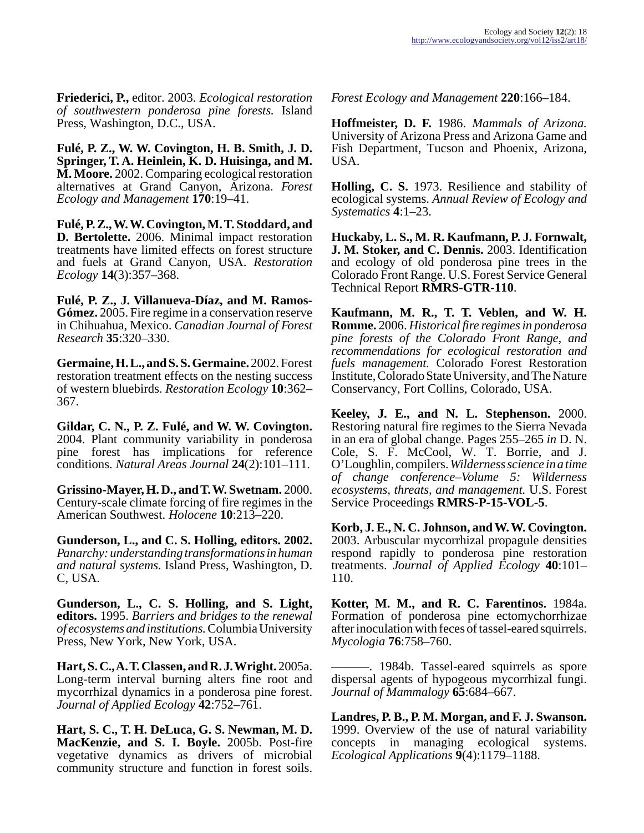**Friederici, P.,** editor. 2003. *Ecological restoration of southwestern ponderosa pine forests.* Island Press, Washington, D.C., USA.

**Fulé, P. Z., W. W. Covington, H. B. Smith, J. D. Springer, T. A. Heinlein, K. D. Huisinga, and M. M. Moore.** 2002. Comparing ecological restoration alternatives at Grand Canyon, Arizona. *Forest Ecology and Management* **170**:19–41.

**Fulé, P. Z., W. W. Covington, M. T. Stoddard, and D. Bertolette.** 2006. Minimal impact restoration treatments have limited effects on forest structure and fuels at Grand Canyon, USA. *Restoration Ecology* **14**(3):357–368.

**Fulé, P. Z., J. Villanueva-Díaz, and M. Ramos-Gómez.** 2005. Fire regime in a conservation reserve in Chihuahua, Mexico. *Canadian Journal of Forest Research* **35**:320–330.

**Germaine, H. L., and S. S. Germaine.** 2002. Forest restoration treatment effects on the nesting success of western bluebirds. *Restoration Ecology* **10**:362– 367.

**Gildar, C. N., P. Z. Fulé, and W. W. Covington.** 2004. Plant community variability in ponderosa pine forest has implications for reference conditions. *Natural Areas Journal* **24**(2):101–111.

**Grissino-Mayer, H. D., and T. W. Swetnam.** 2000. Century-scale climate forcing of fire regimes in the American Southwest. *Holocene* **10**:213–220.

**Gunderson, L., and C. S. Holling, editors. 2002.** *Panarchy: understanding transformations in human and natural systems.* Island Press, Washington, D. C, USA.

**Gunderson, L., C. S. Holling, and S. Light, editors.** 1995. *Barriers and bridges to the renewal of ecosystems and institutions.* Columbia University Press, New York, New York, USA.

**Hart, S. C., A. T. Classen, and R. J. Wright.** 2005a. Long-term interval burning alters fine root and mycorrhizal dynamics in a ponderosa pine forest. *Journal of Applied Ecology* **42**:752–761.

**Hart, S. C., T. H. DeLuca, G. S. Newman, M. D. MacKenzie, and S. I. Boyle.** 2005b. Post-fire vegetative dynamics as drivers of microbial community structure and function in forest soils.

*Forest Ecology and Management* **220**:166–184.

**Hoffmeister, D. F.** 1986. *Mammals of Arizona.* University of Arizona Press and Arizona Game and Fish Department, Tucson and Phoenix, Arizona, USA.

**Holling, C. S.** 1973. Resilience and stability of ecological systems. *Annual Review of Ecology and Systematics* **4**:1–23.

**Huckaby, L. S., M. R. Kaufmann, P. J. Fornwalt, J. M. Stoker, and C. Dennis.** 2003. Identification and ecology of old ponderosa pine trees in the Colorado Front Range. U.S. Forest Service General Technical Report **RMRS-GTR-110**.

**Kaufmann, M. R., T. T. Veblen, and W. H. Romme.** 2006. *Historical fire regimes in ponderosa pine forests of the Colorado Front Range, and recommendations for ecological restoration and fuels management.* Colorado Forest Restoration Institute, Colorado State University, and The Nature Conservancy, Fort Collins, Colorado, USA.

**Keeley, J. E., and N. L. Stephenson.** 2000. Restoring natural fire regimes to the Sierra Nevada in an era of global change. Pages 255–265 *in* D. N. Cole, S. F. McCool, W. T. Borrie, and J. O'Loughlin, compilers. *Wilderness science in a time of change conference–Volume 5: Wilderness ecosystems, threats, and management.* U.S. Forest Service Proceedings **RMRS-P-15-VOL-5**.

**Korb, J. E., N. C. Johnson, and W. W. Covington.** 2003. Arbuscular mycorrhizal propagule densities respond rapidly to ponderosa pine restoration treatments. *Journal of Applied Ecology* **40**:101– 110.

**Kotter, M. M., and R. C. Farentinos.** 1984a. Formation of ponderosa pine ectomychorrhizae after inoculation with feces of tassel-eared squirrels. *Mycologia* **76**:758–760.

———. 1984b. Tassel-eared squirrels as spore dispersal agents of hypogeous mycorrhizal fungi. *Journal of Mammalogy* **65**:684–667.

**Landres, P. B., P. M. Morgan, and F. J. Swanson.** 1999. Overview of the use of natural variability concepts in managing ecological systems. *Ecological Applications* **9**(4):1179–1188.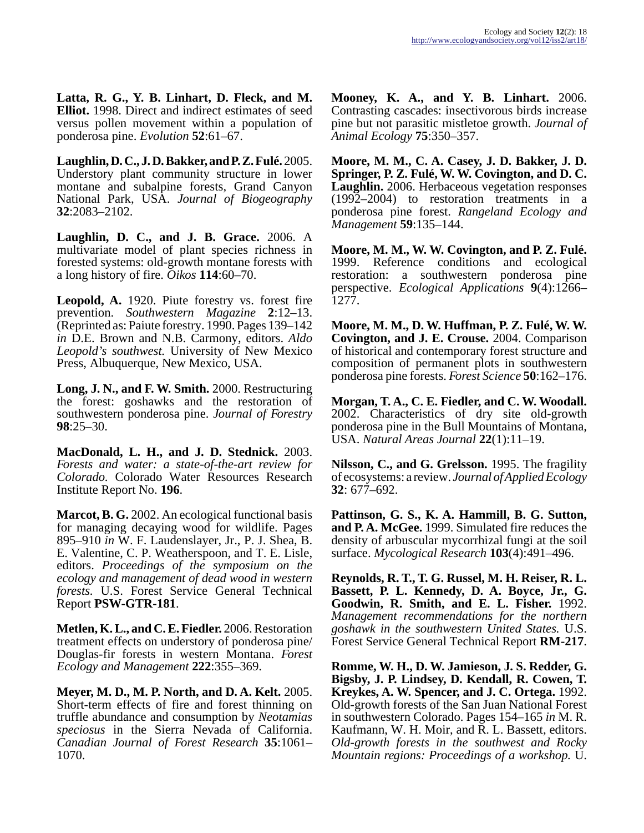**Latta, R. G., Y. B. Linhart, D. Fleck, and M. Elliot.** 1998. Direct and indirect estimates of seed versus pollen movement within a population of ponderosa pine. *Evolution* **52**:61–67.

**Laughlin, D. C., J. D. Bakker, and P. Z. Fulé.** 2005. Understory plant community structure in lower montane and subalpine forests, Grand Canyon National Park, USA. *Journal of Biogeography* **32**:2083–2102.

**Laughlin, D. C., and J. B. Grace.** 2006. A multivariate model of plant species richness in forested systems: old-growth montane forests with a long history of fire. *Oikos* **114**:60–70.

**Leopold, A.** 1920. Piute forestry vs. forest fire prevention. *Southwestern Magazine* **2**:12–13. (Reprinted as: Paiute forestry. 1990. Pages 139–142 *in* D.E. Brown and N.B. Carmony, editors. *Aldo Leopold's southwest.* University of New Mexico Press, Albuquerque, New Mexico, USA.

**Long, J. N., and F. W. Smith.** 2000. Restructuring the forest: goshawks and the restoration of southwestern ponderosa pine. *Journal of Forestry* **98**:25–30.

**MacDonald, L. H., and J. D. Stednick.** 2003. *Forests and water: a state-of-the-art review for Colorado.* Colorado Water Resources Research Institute Report No. **196**.

**Marcot, B. G.** 2002. An ecological functional basis for managing decaying wood for wildlife. Pages 895–910 *in* W. F. Laudenslayer, Jr., P. J. Shea, B. E. Valentine, C. P. Weatherspoon, and T. E. Lisle, editors. *Proceedings of the symposium on the ecology and management of dead wood in western forests.* U.S. Forest Service General Technical Report **PSW-GTR-181**.

**Metlen, K. L., and C. E. Fiedler.** 2006. Restoration treatment effects on understory of ponderosa pine/ Douglas-fir forests in western Montana. *Forest Ecology and Management* **222**:355–369.

**Meyer, M. D., M. P. North, and D. A. Kelt.** 2005. Short-term effects of fire and forest thinning on truffle abundance and consumption by *Neotamias speciosus* in the Sierra Nevada of California. *Canadian Journal of Forest Research* **35**:1061– 1070.

**Mooney, K. A., and Y. B. Linhart.** 2006. Contrasting cascades: insectivorous birds increase pine but not parasitic mistletoe growth. *Journal of Animal Ecology* **75**:350–357.

**Moore, M. M., C. A. Casey, J. D. Bakker, J. D. Springer, P. Z. Fulé, W. W. Covington, and D. C. Laughlin.** 2006. Herbaceous vegetation responses (1992–2004) to restoration treatments in a ponderosa pine forest. *Rangeland Ecology and Management* **59**:135–144.

**Moore, M. M., W. W. Covington, and P. Z. Fulé.** 1999. Reference conditions and ecological restoration: a southwestern ponderosa pine perspective. *Ecological Applications* **9**(4):1266– 1277.

**Moore, M. M., D. W. Huffman, P. Z. Fulé, W. W. Covington, and J. E. Crouse.** 2004. Comparison of historical and contemporary forest structure and composition of permanent plots in southwestern ponderosa pine forests. *Forest Science* **50**:162–176.

**Morgan, T. A., C. E. Fiedler, and C. W. Woodall.** 2002. Characteristics of dry site old-growth ponderosa pine in the Bull Mountains of Montana, USA. *Natural Areas Journal* **22**(1):11–19.

**Nilsson, C., and G. Grelsson.** 1995. The fragility of ecosystems: a review. *Journal of Applied Ecology* **32**: 677–692.

**Pattinson, G. S., K. A. Hammill, B. G. Sutton, and P. A. McGee.** 1999. Simulated fire reduces the density of arbuscular mycorrhizal fungi at the soil surface. *Mycological Research* **103**(4):491–496.

**Reynolds, R. T., T. G. Russel, M. H. Reiser, R. L. Bassett, P. L. Kennedy, D. A. Boyce, Jr., G. Goodwin, R. Smith, and E. L. Fisher.** 1992. *Management recommendations for the northern goshawk in the southwestern United States.* U.S. Forest Service General Technical Report **RM-217**.

**Romme, W. H., D. W. Jamieson, J. S. Redder, G. Bigsby, J. P. Lindsey, D. Kendall, R. Cowen, T. Kreykes, A. W. Spencer, and J. C. Ortega.** 1992. Old-growth forests of the San Juan National Forest in southwestern Colorado. Pages 154–165 *in* M. R. Kaufmann, W. H. Moir, and R. L. Bassett, editors. *Old-growth forests in the southwest and Rocky Mountain regions: Proceedings of a workshop.* U.